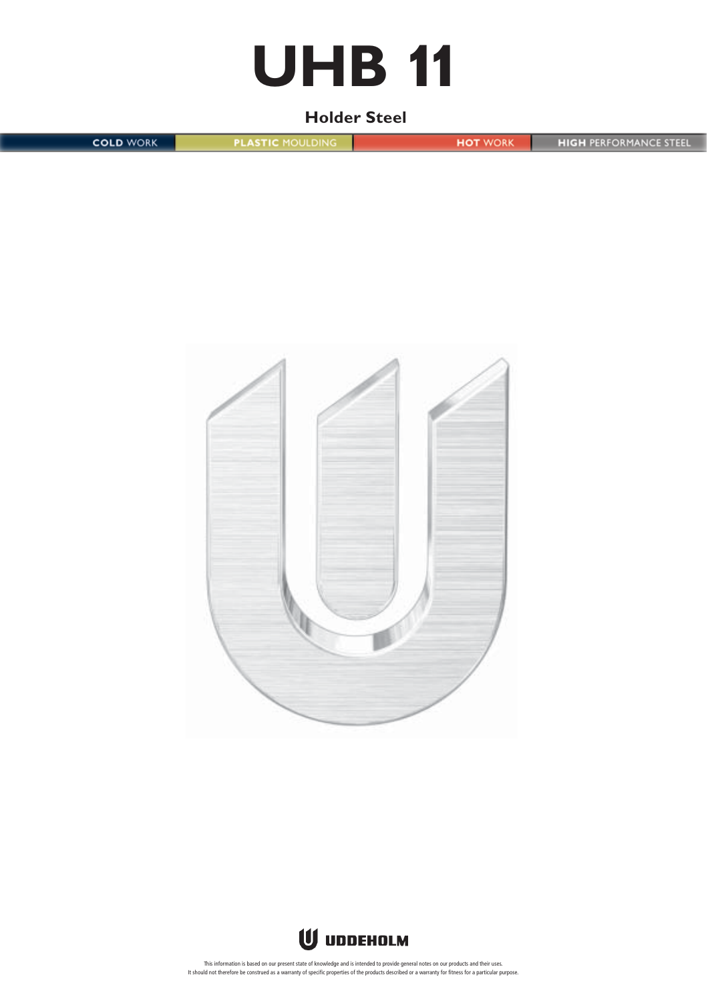# **UHB 11**

# **Holder Steel**

**COLD WORK** 

**PLASTIC MOULDING** 

**HOT WORK** 

**HIGH PERFORMANCE STEEL** 



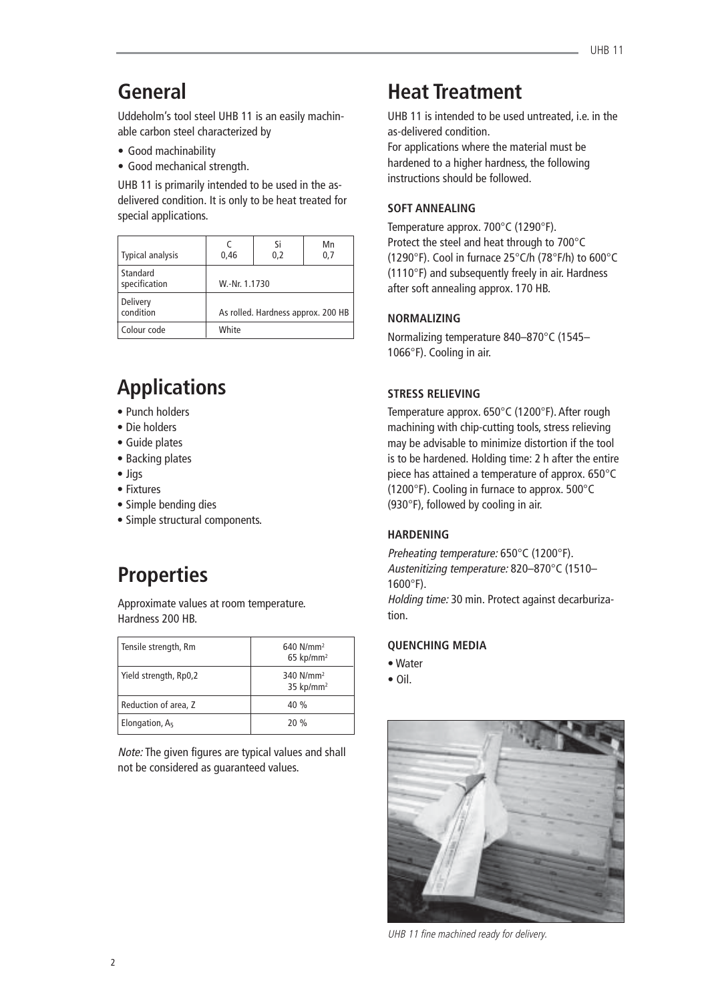# **General**

Uddeholm's tool steel UHB 11 is an easily machinable carbon steel characterized by

- Good machinability
- Good mechanical strength.

UHB 11 is primarily intended to be used in the asdelivered condition. It is only to be heat treated for special applications.

| <b>Typical analysis</b>   | 0.46                               | Si<br>0,2 | Mn<br>0,7 |  |
|---------------------------|------------------------------------|-----------|-----------|--|
| Standard<br>specification | W.-Nr. 1.1730                      |           |           |  |
| Delivery<br>condition     | As rolled. Hardness approx. 200 HB |           |           |  |
| Colour code               | White                              |           |           |  |

# **Applications**

- Punch holders
- Die holders
- Guide plates
- Backing plates
- Jigs
- Fixtures
- Simple bending dies
- Simple structural components.

# **Properties**

Approximate values at room temperature. Hardness 200 HB.

| Tensile strength, Rm  | $640$ N/mm <sup>2</sup><br>$65$ kp/mm <sup>2</sup> |
|-----------------------|----------------------------------------------------|
| Yield strength, Rp0,2 | 340 $N/mm^2$<br>35 kp/mm <sup>2</sup>              |
| Reduction of area, Z  | 40%                                                |
| Elongation, A5        | 20%                                                |

Note: The given figures are typical values and shall not be considered as guaranteed values.

# **Heat Treatment**

UHB 11 is intended to be used untreated, i.e. in the as-delivered condition.

For applications where the material must be hardened to a higher hardness, the following instructions should be followed.

# **SOFT ANNEALING**

Temperature approx. 700°C (1290°F). Protect the steel and heat through to 700°C (1290°F). Cool in furnace 25°C/h (78°F/h) to 600°C (1110°F) and subsequently freely in air. Hardness after soft annealing approx. 170 HB.

### **NORMALIZING**

Normalizing temperature 840–870°C (1545– 1066°F). Cooling in air.

# **STRESS RELIEVING**

Temperature approx. 650°C (1200°F). After rough machining with chip-cutting tools, stress relieving may be advisable to minimize distortion if the tool is to be hardened. Holding time: 2 h after the entire piece has attained a temperature of approx. 650°C (1200°F). Cooling in furnace to approx. 500°C (930°F), followed by cooling in air.

# **HARDENING**

Preheating temperature: 650°C (1200°F). Austenitizing temperature: 820–870°C (1510–  $1600^{\circ}$ F).

Holding time: 30 min. Protect against decarburization.

# **QUENCHING MEDIA**

- Water
- Oil.



UHB 11 fine machined ready for delivery.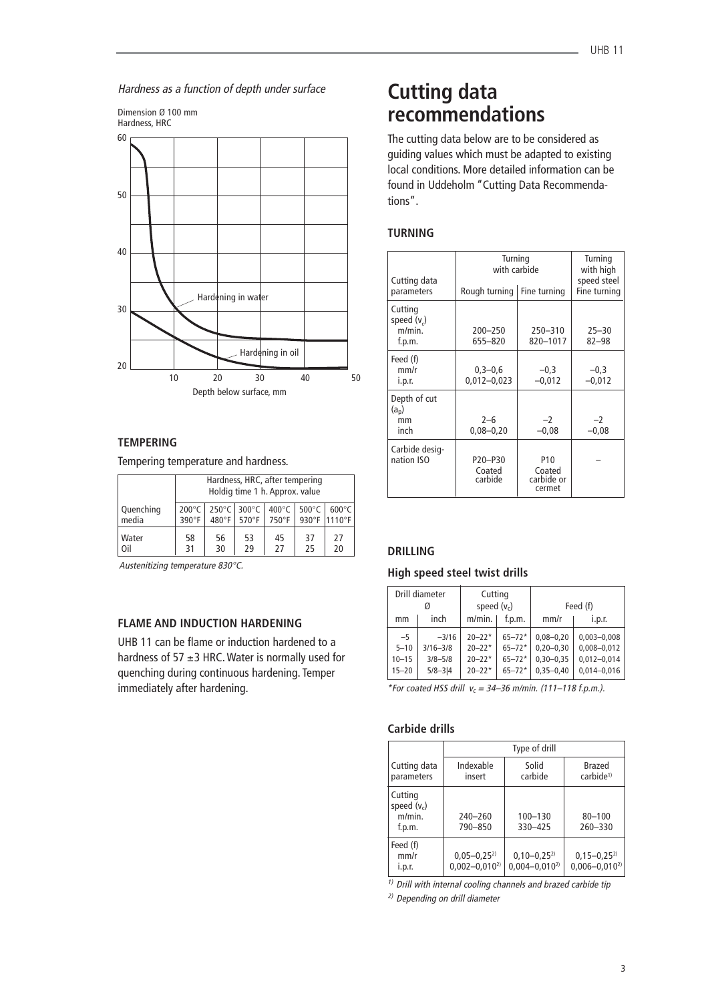Hardness as a function of depth under surface



# **TEMPERING**

Tempering temperature and hardness.

|                    | Hardness, HRC, after tempering<br>Holdig time 1 h. Approx. value |                 |                              |                          |                 |                                 |
|--------------------|------------------------------------------------------------------|-----------------|------------------------------|--------------------------|-----------------|---------------------------------|
| Quenching<br>media | $200^{\circ}$ C<br>$390^\circ F$                                 | $480^{\circ}$ F | 250°C 300°C<br>$570^\circ F$ | $400^{\circ}$ C<br>750°F | $500^{\circ}$ C | $600^{\circ}$ C<br>930°F 1110°F |
| Water<br>Oil       | 58<br>31                                                         | 56<br>30        | 53<br>29                     | 45<br>27                 | 37<br>25        | 27<br>20                        |

Austenitizing temperature 830°C.

### **FLAME AND INDUCTION HARDENING**

UHB 11 can be flame or induction hardened to a hardness of 57  $\pm$ 3 HRC. Water is normally used for quenching during continuous hardening. Temper immediately after hardening.

# **Cutting data recommendations**

The cutting data below are to be considered as guiding values which must be adapted to existing local conditions. More detailed information can be found in Uddeholm "Cutting Data Recommendations".

# **TURNING**

| Cutting data<br>parameters                            | Turning<br>with carbide<br>Rough turning<br>Fine turning |                                                   | Turning<br>with high<br>speed steel<br>Fine turning |
|-------------------------------------------------------|----------------------------------------------------------|---------------------------------------------------|-----------------------------------------------------|
| Cutting<br>speed (v <sub>c</sub> )<br>m/min<br>f.p.m. | $200 - 250$<br>655-820                                   | $250 - 310$<br>820-1017                           | $25 - 30$<br>$82 - 98$                              |
| Feed (f)<br>mm/r<br>i.p.r.                            | $0,3 - 0,6$<br>$0,012 - 0,023$                           | $-0,3$<br>$-0,012$                                | $-0,3$<br>$-0,012$                                  |
| Depth of cut<br>$(a_n)$<br>mm<br>inch                 | $2 - 6$<br>$0,08 - 0,20$                                 | $-2$<br>$-0.08$                                   | $-2$<br>$-0,08$                                     |
| Carbide desig-<br>nation ISO                          | P20-P30<br>Coated<br>carbide                             | P <sub>10</sub><br>Coated<br>carbide or<br>cermet |                                                     |

### **DRILLING**

#### **High speed steel twist drills**

|                                            | Drill diameter<br>Ø                                   |                                                      | Cutting<br>speed $(v_c)$                             |                                                                | Feed (f)                                                                 |
|--------------------------------------------|-------------------------------------------------------|------------------------------------------------------|------------------------------------------------------|----------------------------------------------------------------|--------------------------------------------------------------------------|
| mm                                         | inch                                                  | $m/min$ .                                            | f.D.m.                                               | mm/r                                                           | i.p.r.                                                                   |
| $-5$<br>$5 - 10$<br>$10 - 15$<br>$15 - 20$ | $-3/16$<br>$3/16 - 3/8$<br>$3/8 - 5/8$<br>$5/8 - 3/4$ | $20 - 22*$<br>$20 - 22*$<br>$20 - 22*$<br>$20 - 22*$ | $65 - 72*$<br>$65 - 72*$<br>$65 - 72*$<br>$65 - 72*$ | $0.08 - 0.20$<br>$0.20 - 0.30$<br>$0,30-0,35$<br>$0,35 - 0,40$ | $0.003 - 0.008$<br>$0,008 - 0,012$<br>$0,012 - 0,014$<br>$0.014 - 0.016$ |

\*For coated HSS drill  $v_c = 34-36$  m/min. (111-118 f.p.m.).

### **Carbide drills**

|                                              | Type of drill                            |                                        |                                        |  |
|----------------------------------------------|------------------------------------------|----------------------------------------|----------------------------------------|--|
| Cutting data<br>parameters                   | Indexable<br>insert                      | Solid<br>carbide                       | Brazed<br>carbide <sup>1)</sup>        |  |
| Cutting<br>speed $(v_c)$<br>m/min.<br>f.p.m. | $240 - 260$<br>790-850                   | $100 - 130$<br>330-425                 | $80 - 100$<br>260-330                  |  |
| Feed (f)<br>mm/r<br>i.p.r.                   | $0,05 - 0,25^{2}$<br>$0,002 - 0,010^{2}$ | $0,10-0,25^{2}$<br>$0.004 - 0.010^{2}$ | $0,15-0,25^{2}$<br>$0,006 - 0,010^{2}$ |  |

 $1)$  Drill with internal cooling channels and brazed carbide tip

2) Depending on drill diameter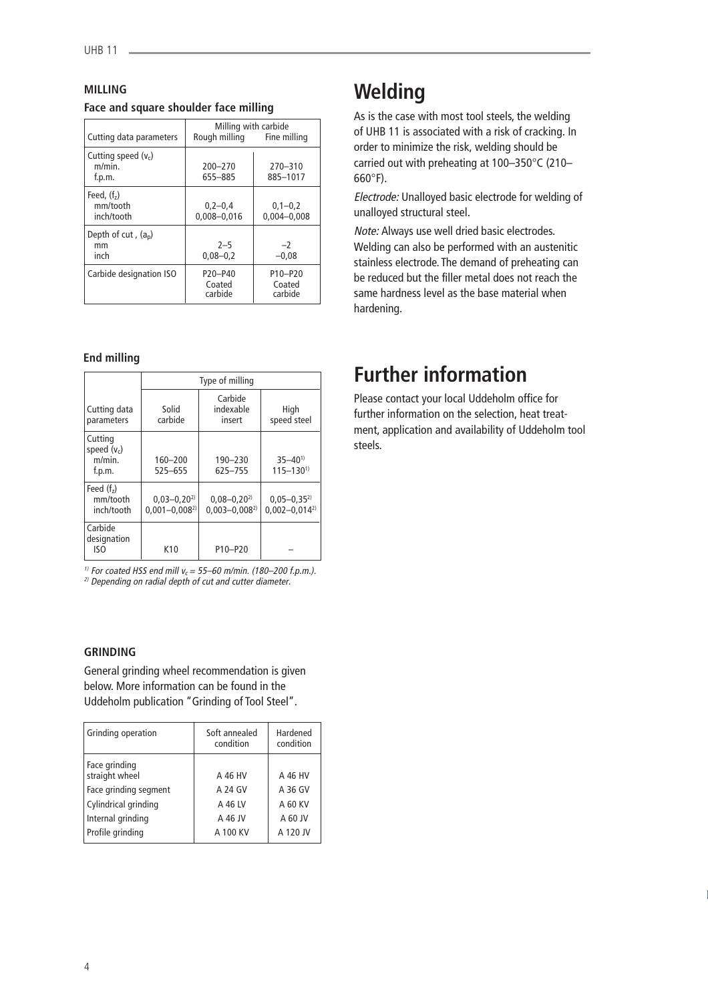# **MILLING Face and square shoulder face milling**

| Cutting data parameters                      | Milling with carbide<br>Rough milling                 | Fine milling                                          |
|----------------------------------------------|-------------------------------------------------------|-------------------------------------------------------|
| Cutting speed $(v_c)$<br>$m/min$ .<br>f.p.m. | $200 - 270$<br>655-885                                | 270-310<br>885-1017                                   |
| Feed, $(f2)$<br>mm/tooth<br>inch/tooth       | $0,2-0,4$<br>$0.008 - 0.016$                          | $0,1-0,2$<br>$0.004 - 0.008$                          |
| Depth of cut, $(a_p)$<br>mm<br>inch          | $2 - 5$<br>$0,08 - 0,2$                               | $-2$<br>$-0.08$                                       |
| Carbide designation ISO                      | P <sub>20</sub> -P <sub>40</sub><br>Coated<br>carbide | P <sub>10</sub> -P <sub>20</sub><br>Coated<br>carbide |

### **End milling**

|                                              | Type of milling                          |                                          |                                          |
|----------------------------------------------|------------------------------------------|------------------------------------------|------------------------------------------|
| Cutting data<br>parameters                   | Solid<br>carbide                         | Carbide<br>indexable<br>insert           | High<br>speed steel                      |
| Cutting<br>speed $(v_c)$<br>m/min.<br>f.p.m. | $160 - 200$<br>525-655                   | 190-230<br>625-755                       | $35 - 40^{1}$<br>$115 - 130^{1}$         |
| Feed $(fz)$<br>mm/tooth<br>inch/tooth        | $0.03 - 0.20^{2}$<br>$0.001 - 0.008^{2}$ | $0.08 - 0.20^{2}$<br>$0.003 - 0.008^{2}$ | $0,05 - 0,35^{2}$<br>$0.002 - 0.014^{2}$ |
| Carbide<br>designation<br>ISO                | K <sub>10</sub>                          | P10-P20                                  |                                          |

<sup>1)</sup> For coated HSS end mill  $v_c = 55-60$  m/min. (180-200 f.p.m.). <sup>2)</sup> Depending on radial depth of cut and cutter diameter.

### **GRINDING**

General grinding wheel recommendation is given below. More information can be found in the Uddeholm publication "Grinding of Tool Steel".

| Grinding operation              | Soft annealed<br>condition | Hardened<br>condition |
|---------------------------------|----------------------------|-----------------------|
| Face grinding<br>straight wheel | A 46 HV                    | A 46 HV               |
| Face grinding segment           | A 24 GV                    | A 36 GV               |
| Cylindrical grinding            | A 46 LV                    | A 60 KV               |
| Internal grinding               | A 46 JV                    | A 60 JV               |
| Profile grinding                | A 100 KV                   | A 120 JV              |

# **Welding**

As is the case with most tool steels, the welding of UHB 11 is associated with a risk of cracking. In order to minimize the risk, welding should be carried out with preheating at 100–350°C (210– 660°F).

Electrode: Unalloyed basic electrode for welding of unalloyed structural steel.

Note: Always use well dried basic electrodes. Welding can also be performed with an austenitic stainless electrode. The demand of preheating can be reduced but the filler metal does not reach the same hardness level as the base material when hardening.

# **Further information**

Please contact your local Uddeholm office for further information on the selection, heat treatment, application and availability of Uddeholm tool steels.